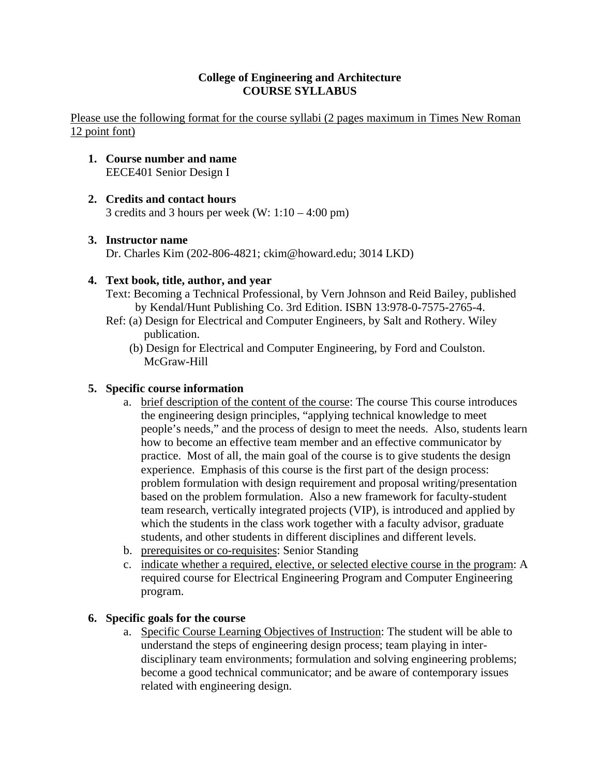### **College of Engineering and Architecture COURSE SYLLABUS**

Please use the following format for the course syllabi (2 pages maximum in Times New Roman 12 point font)

- **1. Course number and name**  EECE401 Senior Design I
- **2. Credits and contact hours**

3 credits and 3 hours per week  $(W: 1:10 - 4:00 \text{ pm})$ 

# **3. Instructor name**

Dr. Charles Kim (202-806-4821; ckim@howard.edu; 3014 LKD)

# **4. Text book, title, author, and year**

- Text: Becoming a Technical Professional, by Vern Johnson and Reid Bailey, published by Kendal/Hunt Publishing Co. 3rd Edition. ISBN 13:978-0-7575-2765-4.
- Ref: (a) Design for Electrical and Computer Engineers, by Salt and Rothery. Wiley publication.
	- (b) Design for Electrical and Computer Engineering, by Ford and Coulston. McGraw-Hill

## **5. Specific course information**

- a. brief description of the content of the course: The course This course introduces the engineering design principles, "applying technical knowledge to meet people's needs," and the process of design to meet the needs. Also, students learn how to become an effective team member and an effective communicator by practice. Most of all, the main goal of the course is to give students the design experience. Emphasis of this course is the first part of the design process: problem formulation with design requirement and proposal writing/presentation based on the problem formulation. Also a new framework for faculty-student team research, vertically integrated projects (VIP), is introduced and applied by which the students in the class work together with a faculty advisor, graduate students, and other students in different disciplines and different levels.
- b. prerequisites or co-requisites: Senior Standing
- c. indicate whether a required, elective, or selected elective course in the program: A required course for Electrical Engineering Program and Computer Engineering program.

### **6. Specific goals for the course**

a. Specific Course Learning Objectives of Instruction: The student will be able to understand the steps of engineering design process; team playing in interdisciplinary team environments; formulation and solving engineering problems; become a good technical communicator; and be aware of contemporary issues related with engineering design.